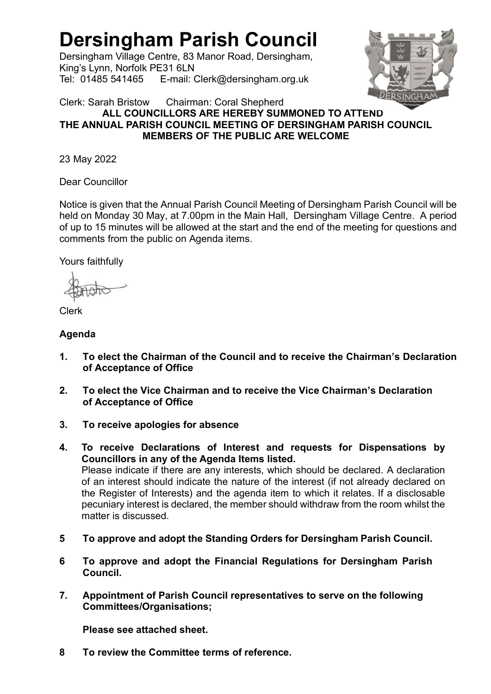# Dersingham Parish Council

Dersingham Village Centre, 83 Manor Road, Dersingham, King's Lynn, Norfolk PE31 6LN Tel: 01485 541465 E-mail: Clerk@dersingham.org.uk



Clerk: Sarah Bristow Chairman: Coral Shepherd ALL COUNCILLORS ARE HEREBY SUMMONED TO ATTEND THE ANNUAL PARISH COUNCIL MEETING OF DERSINGHAM PARISH COUNCIL MEMBERS OF THE PUBLIC ARE WELCOME

23 May 2022

Dear Councillor

Notice is given that the Annual Parish Council Meeting of Dersingham Parish Council will be held on Monday 30 May, at 7.00pm in the Main Hall, Dersingham Village Centre. A period of up to 15 minutes will be allowed at the start and the end of the meeting for questions and comments from the public on Agenda items.

Yours faithfully

Clerk

## Agenda

- 1. To elect the Chairman of the Council and to receive the Chairman's Declaration of Acceptance of Office
- 2. To elect the Vice Chairman and to receive the Vice Chairman's Declaration of Acceptance of Office
- 3. To receive apologies for absence
- 4. To receive Declarations of Interest and requests for Dispensations by Councillors in any of the Agenda Items listed. Please indicate if there are any interests, which should be declared. A declaration of an interest should indicate the nature of the interest (if not already declared on the Register of Interests) and the agenda item to which it relates. If a disclosable pecuniary interest is declared, the member should withdraw from the room whilst the matter is discussed.
- 5 To approve and adopt the Standing Orders for Dersingham Parish Council.
- 6 To approve and adopt the Financial Regulations for Dersingham Parish Council.
- 7. Appointment of Parish Council representatives to serve on the following Committees/Organisations;

Please see attached sheet.

8 To review the Committee terms of reference.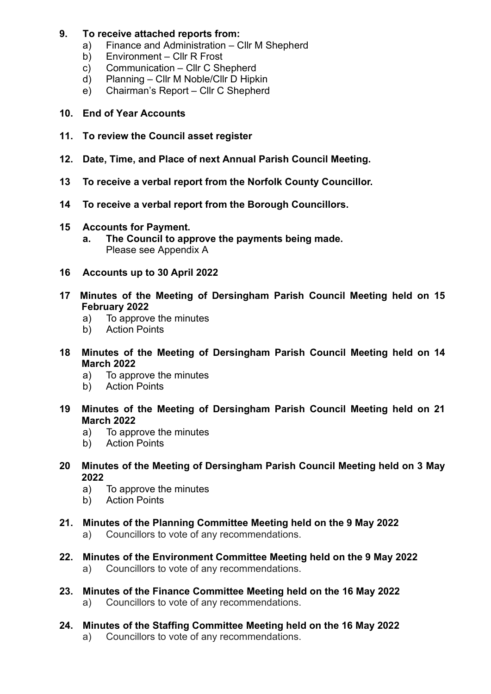## 9. To receive attached reports from:

- a) Finance and Administration Cllr M Shepherd
- b) Environment Cllr R Frost
- c) Communication Cllr C Shepherd
- d) Planning Cllr M Noble/Cllr D Hipkin
- e) Chairman's Report Cllr C Shepherd
- 10. End of Year Accounts
- 11. To review the Council asset register
- 12. Date, Time, and Place of next Annual Parish Council Meeting.
- 13 To receive a verbal report from the Norfolk County Councillor.
- 14 To receive a verbal report from the Borough Councillors.
- 15 Accounts for Payment.
	- a. The Council to approve the payments being made. Please see Appendix A
- 16 Accounts up to 30 April 2022
- 17 Minutes of the Meeting of Dersingham Parish Council Meeting held on 15 February 2022
	- a) To approve the minutes
	- b) Action Points
- 18 Minutes of the Meeting of Dersingham Parish Council Meeting held on 14 March 2022
	- a) To approve the minutes
	- b) Action Points
- 19 Minutes of the Meeting of Dersingham Parish Council Meeting held on 21 March 2022
	- a) To approve the minutes
	- b) Action Points
- 20 Minutes of the Meeting of Dersingham Parish Council Meeting held on 3 May 2022
	- a) To approve the minutes
	- b) Action Points
- 21. Minutes of the Planning Committee Meeting held on the 9 May 2022 a) Councillors to vote of any recommendations.
- 22. Minutes of the Environment Committee Meeting held on the 9 May 2022 a) Councillors to vote of any recommendations.
- 23. Minutes of the Finance Committee Meeting held on the 16 May 2022 a) Councillors to vote of any recommendations.
- 24. Minutes of the Staffing Committee Meeting held on the 16 May 2022 a) Councillors to vote of any recommendations.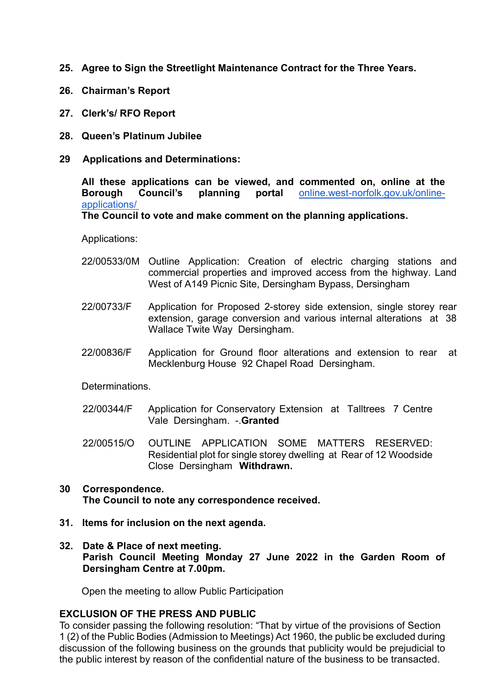- 25. Agree to Sign the Streetlight Maintenance Contract for the Three Years.
- 26. Chairman's Report
- 27. Clerk's/ RFO Report
- 28. Queen's Platinum Jubilee
- 29 Applications and Determinations:

 All these applications can be viewed, and commented on, online at the Borough Council's planning portal online.west-norfolk.gov.uk/onlineapplications/

The Council to vote and make comment on the planning applications.

Applications:

- 22/00533/0M Outline Application: Creation of electric charging stations and commercial properties and improved access from the highway. Land West of A149 Picnic Site, Dersingham Bypass, Dersingham
- 22/00733/F Application for Proposed 2-storey side extension, single storey rear extension, garage conversion and various internal alterations at 38 Wallace Twite Way Dersingham.
- 22/00836/F Application for Ground floor alterations and extension to rear at Mecklenburg House 92 Chapel Road Dersingham.

**Determinations** 

- 22/00344/F Application for Conservatory Extension at Talltrees 7 Centre Vale Dersingham. - Granted
- 22/00515/O OUTLINE APPLICATION SOME MATTERS RESERVED: Residential plot for single storey dwelling at Rear of 12 Woodside Close Dersingham Withdrawn.

### 30 Correspondence. The Council to note any correspondence received.

- 31. Items for inclusion on the next agenda.
- 32. Date & Place of next meeting. Parish Council Meeting Monday 27 June 2022 in the Garden Room of Dersingham Centre at 7.00pm.

Open the meeting to allow Public Participation

#### EXCLUSION OF THE PRESS AND PUBLIC

To consider passing the following resolution: "That by virtue of the provisions of Section 1 (2) of the Public Bodies (Admission to Meetings) Act 1960, the public be excluded during discussion of the following business on the grounds that publicity would be prejudicial to the public interest by reason of the confidential nature of the business to be transacted.